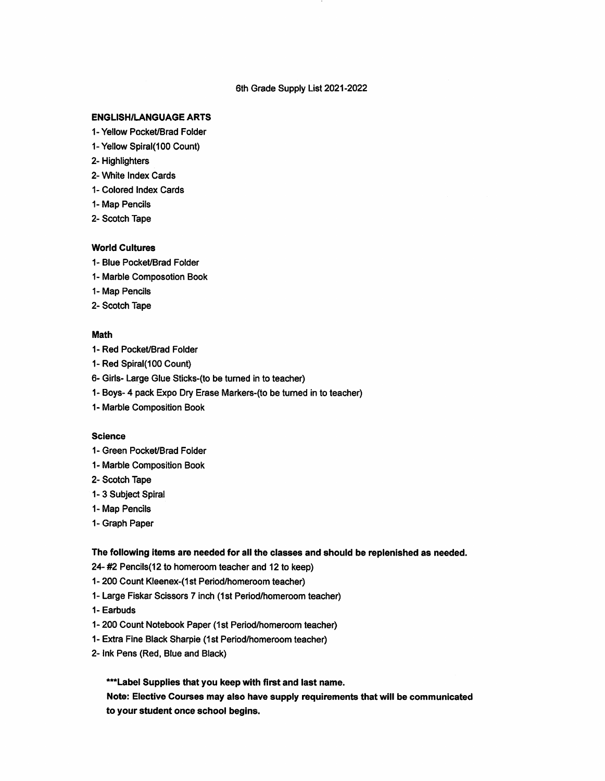### 6th Grade Supply List 2021-2022

## **ENGLISH/LANGUAGE ARTS**

- 1- Yellow Pocket/Brad Folder
- 1- Yellow Spiral(100 Count)
- 2- Highlighters
- 2- White Index Cards
- 1- Colored Index Cards
- 1- Map Pencils
- 2- Scotch Tape

### **World Cultures**

- 1- Blue Pocket/Brad Folder
- 1- Marble Composotion Book
- 1- Map Pencils
- 2- Scotch Tape

#### Math

- 1- Red Pocket/Brad Folder
- 1- Red Spiral(100 Count)
- 6- Girls- Large Glue Sticks-(to be turned in to teacher)
- 1- Boys- 4 pack Expo Dry Erase Markers-(to be turned in to teacher)
- 1- Marble Composition Book

## **Science**

- 1- Green Pocket/Brad Folder
- 1- Marble Composition Book
- 2- Scotch Tape
- 1-3 Subject Spiral
- 1- Map Pencils
- 1- Graph Paper

# The following items are needed for all the classes and should be replenished as needed.

- 24- #2 Pencils(12 to homeroom teacher and 12 to keep)
- 1- 200 Count Kleenex-(1st Period/homeroom teacher)
- 1- Large Fiskar Scissors 7inch (1st Period/homeroom teacher)
- 1- Earbuds
- 1- 200 Count Notebook Paper (1st Period/homeroom teacher)
- 1- Extra Fine Black Sharpie (1st Period/homeroom teacher)
- 2- ink Pens (Red, Blue and Black)

\*\*\* Label Supplies that you keep with first and last name.

Note: Elective Courses may also have supply requirements that will be communicated to your student once school begins.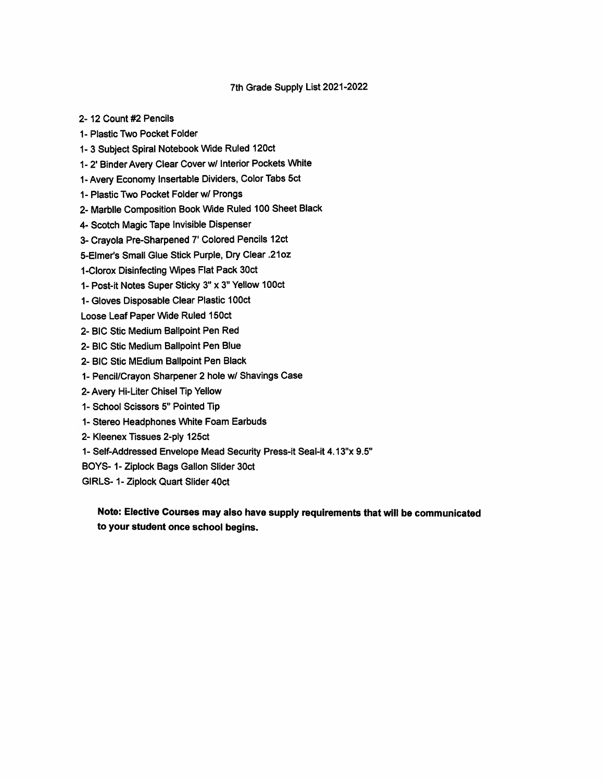## 7th Grade Supply List 2021-2022

2-12 Count #2 Pencils

1- Plastic Two Pocket Folder

1-3 Subject Spiral Notebook Wide Ruled 120ct

1- 2' Binder Avery Clear Cover w/ Interior Pockets White

1-Avery Economy Insertable Dividers, Color Tabs 5ct

1- Plastic Two Pocket Folder w/ Prongs

2- Marblle Composition Book Wide Ruled 100 Sheet Black

4- Scotch Magic Tape Invisible Dispenser

3- Crayola Pre-Sharpened 7' Colored Pencils 12ct

5-Elmer's Small Glue Stick Purple, Dry Clear .21oz

1-Clorox Disinfecting Wipes Flat Pack 30ct

1- Post-it Notes Super Sticky 3" x 3" Yellow 100ct

1- Gloves Disposable Clear Plastic 100ct

Loose Leaf Paper Wide Ruled 150ct

- 2- BIC Stic Medium Ballpoint Pen Red
- 2- BIC Stic Medium Ballpoint Pen Blue
- 2- BIC Stic MEdium Ballpoint Pen Black
- 1- Pencil/Crayon Sharpener 2 hole w/ Shavings Case
- 2- Avery Hi-Liter Chisel Tip Yellow
- 1- School Scissors 5" Pointed Tip
- 1- Stereo Headphones White Foam Earbuds
- 2- Kleenex Tissues 2-ply 125ct
- 1- Self-Addressed Envelope Mead Security Press-it Seal-it 4,13"x 9.5"
- BOYS-1- Ziplock Bags Gallon Slider 30ct
- GIRLS-1- Ziplock Quart Slider 40ct

Note: Elective Courses may also have supply requirements that will be communicated to your student once school begins.